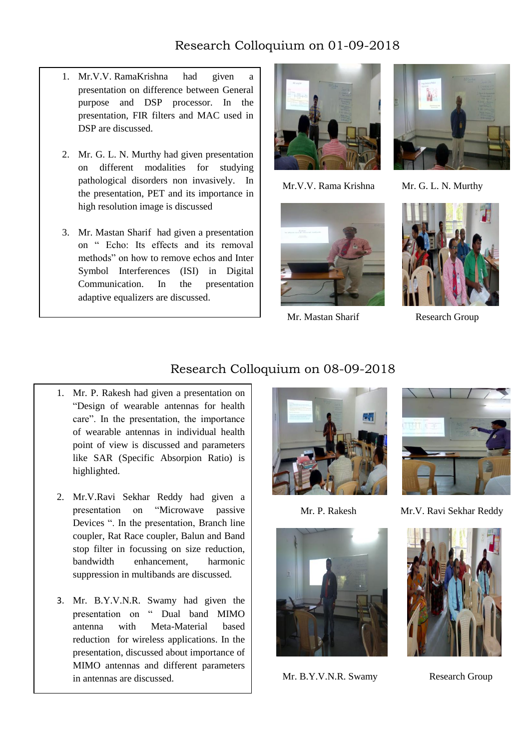## Research Colloquium on 01-09-2018

- 1. Mr.V.V. RamaKrishna had given a presentation on difference between General purpose and DSP processor. In the presentation, FIR filters and MAC used in DSP are discussed.
- 2. Mr. G. L. N. Murthy had given presentation on different modalities for studying pathological disorders non invasively. In the presentation, PET and its importance in high resolution image is discussed
- 3. Mr. Mastan Sharif had given a presentation on " Echo: Its effects and its removal methods" on how to remove echos and Inter Symbol Interferences (ISI) in Digital Communication. In the presentation adaptive equalizers are discussed.



Mr.V.V. Rama Krishna Mr. G. L. N. Murthy



Mr. Mastan Sharif Research Group





#### Research Colloquium on 08-09-2018

- 1. Mr. P. Rakesh had given a presentation on "Design of wearable antennas for health care". In the presentation, the importance of wearable antennas in individual health point of view is discussed and parameters like SAR (Specific Absorpion Ratio) is highlighted.
- 2. Mr.V.Ravi Sekhar Reddy had given a presentation on "Microwave passive Devices ". In the presentation, Branch line coupler, Rat Race coupler, Balun and Band stop filter in focussing on size reduction, bandwidth enhancement harmonic suppression in multibands are discussed.
- 3. Mr. B.Y.V.N.R. Swamy had given the presentation on " Dual band MIMO antenna with Meta-Material based reduction for wireless applications. In the presentation, discussed about importance of MIMO antennas and different parameters in antennas are discussed.







Mr. B.Y.V.N.R. Swamy Research Group



Mr. P. Rakesh Mr.V. Ravi Sekhar Reddy

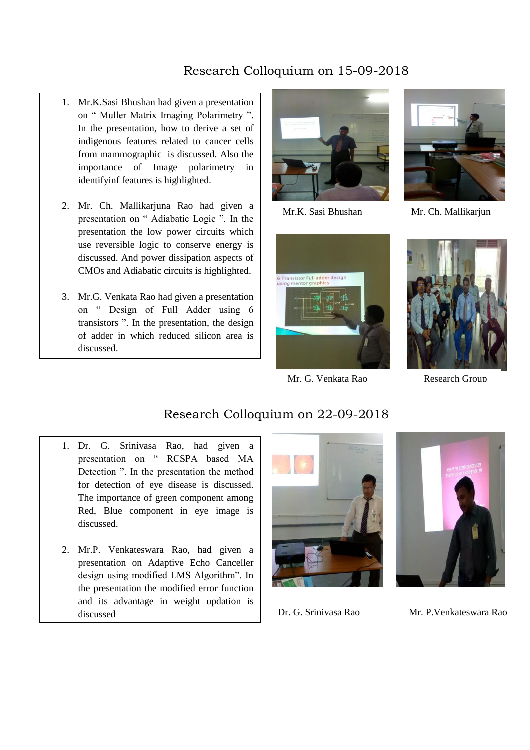# Research Colloquium on 15-09-2018

- 1. Mr.K.Sasi Bhushan had given a presentation on " Muller Matrix Imaging Polarimetry ". In the presentation, how to derive a set of indigenous features related to cancer cells from mammographic is discussed. Also the importance of Image polarimetry in identifyinf features is highlighted.
- $\overline{\phantom{a}}$ 2. Mr. Ch. Mallikarjuna Rao had given a presentation on " Adiabatic Logic ". In the presentation the low power circuits which use reversible logic to conserve energy is discussed. And power dissipation aspects of CMOs and Adiabatic circuits is highlighted.
- 3. Mr.G. Venkata Rao had given a presentation on " Design of Full Adder using 6 transistors ". In the presentation, the design of adder in which reduced silicon area is discussed.



Mr.K. Sasi Bhushan Mr. Ch. Mallikarjun





Mr. G. Venkata Rao Research Group



### Research Colloquium on 22-09-2018

- 1. Dr. G. Srinivasa Rao, had given a presentation on " RCSPA based MA Detection ". In the presentation the method for detection of eye disease is discussed. The importance of green component among Red, Blue component in eye image is discussed.
- 2. Mr.P. Venkateswara Rao, had given a presentation on Adaptive Echo Canceller design using modified LMS Algorithm". In the presentation the modified error function and its advantage in weight updation is discussed Dr. G. Srinivasa Rao Mr. P.Venkateswara Rao

Ī